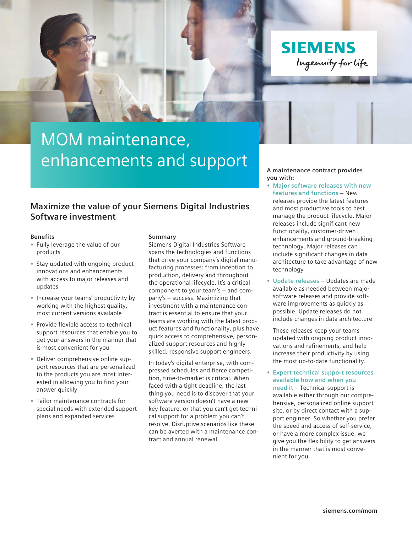**SIEMENS** Ingenuity for life

# MOM maintenance, enhancements and support

### **Maximize the value of your Siemens Digital Industries Software investment**

#### **Benefits**

- **•** Fully leverage the value of our products
- **•** Stay updated with ongoing product innovations and enhancements with access to major releases and updates
- **•** Increase your teams' productivity by working with the highest quality, most current versions available
- **•** Provide flexible access to technical support resources that enable you to get your answers in the manner that is most convenient for you
- **•** Deliver comprehensive online support resources that are personalized to the products you are most interested in allowing you to find your answer quickly
- **•** Tailor maintenance contracts for special needs with extended support plans and expanded services

#### **Summary**

Siemens Digital Industries Software spans the technologies and functions that drive your company's digital manufacturing processes: from inception to production, delivery and throughout the operational lifecycle. It's a critical component to your team's – and company's – success. Maximizing that investment with a maintenance contract is essential to ensure that your teams are working with the latest product features and functionality, plus have quick access to comprehensive, personalized support resources and highly skilled, responsive support engineers.

In today's digital enterprise, with compressed schedules and fierce competition, time-to-market is critical. When faced with a tight deadline, the last thing you need is to discover that your software version doesn't have a new key feature, or that you can't get technical support for a problem you can't resolve. Disruptive scenarios like these can be averted with a maintenance contract and annual renewal.

**A maintenance contract provides you with:**

- **• Major software releases with new features and functions** – New releases provide the latest features and most productive tools to best manage the product lifecycle. Major releases include significant new functionality, customer-driven enhancements and ground-breaking technology. Major releases can include significant changes in data architecture to take advantage of new technology
- **• Update releases** Updates are made available as needed between major software releases and provide software improvements as quickly as possible. Update releases do not include changes in data architecture

These releases keep your teams updated with ongoing product innovations and refinements, and help increase their productivity by using the most up-to-date functionality.

**• Expert technical support resources available how and when you need it** – Technical support is

available either through our comprehensive, personalized online support site, or by direct contact with a support engineer. So whether you prefer the speed and access of self-service, or have a more complex issue, we give you the flexibility to get answers in the manner that is most convenient for you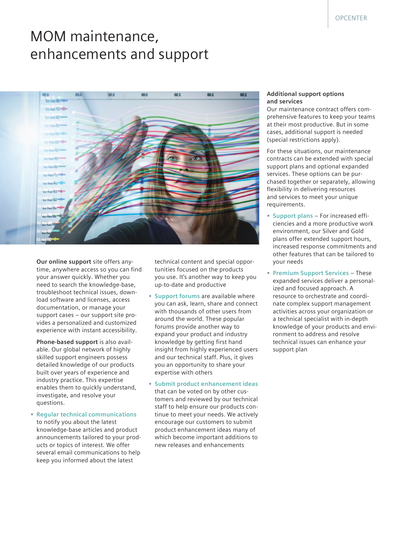## MOM maintenance, enhancements and support



**Our online support** site offers anytime, anywhere access so you can find your answer quickly. Whether you need to search the knowledge-base, troubleshoot technical issues, download software and licenses, access documentation, or manage your support cases – our support site provides a personalized and customized experience with instant accessibility.

**Phone-based support** is also available. Our global network of highly skilled support engineers possess detailed knowledge of our products built over years of experience and industry practice. This expertise enables them to quickly understand, investigate, and resolve your questions.

**• Regular technical communications** to notify you about the latest knowledge-base articles and product announcements tailored to your products or topics of interest. We offer several email communications to help keep you informed about the latest

technical content and special opportunities focused on the products you use. It's another way to keep you up-to-date and productive

- **• Support forums** are available where you can ask, learn, share and connect with thousands of other users from around the world. These popular forums provide another way to expand your product and industry knowledge by getting first hand insight from highly experienced users and our technical staff. Plus, it gives you an opportunity to share your expertise with others
- **• Submit product enhancement ideas**  that can be voted on by other customers and reviewed by our technical staff to help ensure our products continue to meet your needs. We actively encourage our customers to submit product enhancement ideas many of which become important additions to new releases and enhancements

#### **Additional support options and services**

Our maintenance contract offers comprehensive features to keep your teams at their most productive. But in some cases, additional support is needed (special restrictions apply).

For these situations, our maintenance contracts can be extended with special support plans and optional expanded services. These options can be purchased together or separately, allowing flexibility in delivering resources and services to meet your unique requirements.

- **• Support plans** For increased efficiencies and a more productive work environment, our Silver and Gold plans offer extended support hours, increased response commitments and other features that can be tailored to your needs
- **• Premium Support Services** These expanded services deliver a personalized and focused approach. A resource to orchestrate and coordinate complex support management activities across your organization or a technical specialist with in-depth knowledge of your products and environment to address and resolve technical issues can enhance your support plan